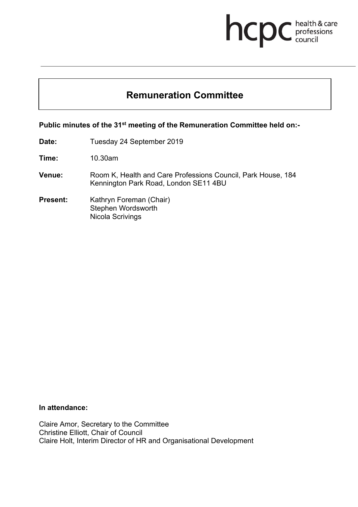# **health & care**

# **Remuneration Committee**

**Public minutes of the 31st meeting of the Remuneration Committee held on:-**

**Date:** Tuesday 24 September 2019

**Time:** 10.30am

- **Venue:** Room K, Health and Care Professions Council, Park House, 184 Kennington Park Road, London SE11 4BU
- **Present:** Kathryn Foreman (Chair) Stephen Wordsworth Nicola Scrivings

# **In attendance:**

Claire Amor, Secretary to the Committee Christine Elliott, Chair of Council Claire Holt, Interim Director of HR and Organisational Development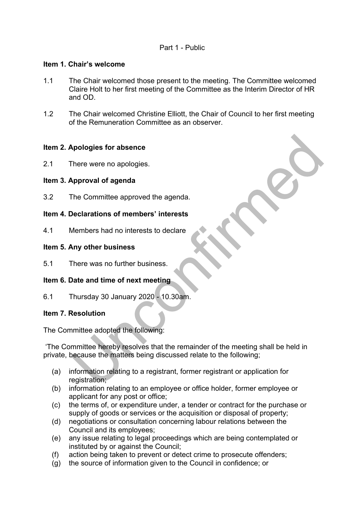# Part 1 - Public

#### **Item 1. Chair's welcome**

- 1.1 The Chair welcomed those present to the meeting. The Committee welcomed Claire Holt to her first meeting of the Committee as the Interim Director of HR and OD.
- 1.2 The Chair welcomed Christine Elliott, the Chair of Council to her first meeting of the Remuneration Committee as an observer.

# **Item 2. Apologies for absence**

2.1 There were no apologies.

#### **Item 3. Approval of agenda**

3.2 The Committee approved the agenda.

#### **Item 4. Declarations of members' interests**

4.1 Members had no interests to declare

#### **Item 5. Any other business**

5.1 There was no further business.

# **Item 6. Date and time of next meeting**

6.1 Thursday 30 January 2020 - 10.30am.

# **Item 7. Resolution**

The Committee adopted the following:

'The Committee hereby resolves that the remainder of the meeting shall be held in private, because the matters being discussed relate to the following;

- (a) information relating to a registrant, former registrant or application for registration;
- (b) information relating to an employee or office holder, former employee or applicant for any post or office;
- (c) the terms of, or expenditure under, a tender or contract for the purchase or supply of goods or services or the acquisition or disposal of property;
- (d) negotiations or consultation concerning labour relations between the Council and its employees;
- (e) any issue relating to legal proceedings which are being contemplated or instituted by or against the Council;
- (f) action being taken to prevent or detect crime to prosecute offenders;
- (g) the source of information given to the Council in confidence; or